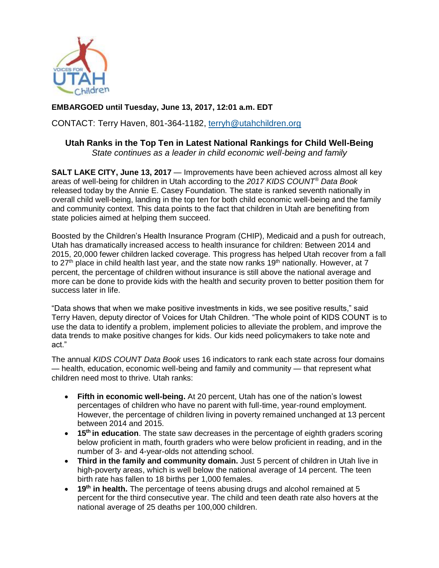

## **EMBARGOED until Tuesday, June 13, 2017, 12:01 a.m. EDT**

CONTACT: Terry Haven, 801-364-1182, [terryh@utahchildren.org](mailto:terryh@utahchildren.org)

# **Utah Ranks in the Top Ten in Latest National Rankings for Child Well-Being**

*State continues as a leader in child economic well-being and family*

**SALT LAKE CITY, June 13, 2017** — Improvements have been achieved across almost all key areas of well-being for children in Utah according to the *2017 KIDS COUNT® Data Book* released today by the Annie E. Casey Foundation. The state is ranked seventh nationally in overall child well-being, landing in the top ten for both child economic well-being and the family and community context. This data points to the fact that children in Utah are benefiting from state policies aimed at helping them succeed.

Boosted by the Children's Health Insurance Program (CHIP), Medicaid and a push for outreach, Utah has dramatically increased access to health insurance for children: Between 2014 and 2015, 20,000 fewer children lacked coverage. This progress has helped Utah recover from a fall to 27<sup>th</sup> place in child health last year, and the state now ranks 19<sup>th</sup> nationally. However, at 7 percent, the percentage of children without insurance is still above the national average and more can be done to provide kids with the health and security proven to better position them for success later in life.

"Data shows that when we make positive investments in kids, we see positive results," said Terry Haven, deputy director of Voices for Utah Children. "The whole point of KIDS COUNT is to use the data to identify a problem, implement policies to alleviate the problem, and improve the data trends to make positive changes for kids. Our kids need policymakers to take note and act."

The annual *KIDS COUNT Data Book* uses 16 indicators to rank each state across four domains — health, education, economic well-being and family and community — that represent what children need most to thrive. Utah ranks:

- **Fifth in economic well-being.** At 20 percent, Utah has one of the nation's lowest percentages of children who have no parent with full-time, year-round employment. However, the percentage of children living in poverty remained unchanged at 13 percent between 2014 and 2015.
- **15<sup>th</sup> in education**. The state saw decreases in the percentage of eighth graders scoring below proficient in math, fourth graders who were below proficient in reading, and in the number of 3- and 4-year-olds not attending school.
- **Third in the family and community domain.** Just 5 percent of children in Utah live in high-poverty areas, which is well below the national average of 14 percent. The teen birth rate has fallen to 18 births per 1,000 females.
- **19th in health.** The percentage of teens abusing drugs and alcohol remained at 5 percent for the third consecutive year. The child and teen death rate also hovers at the national average of 25 deaths per 100,000 children.